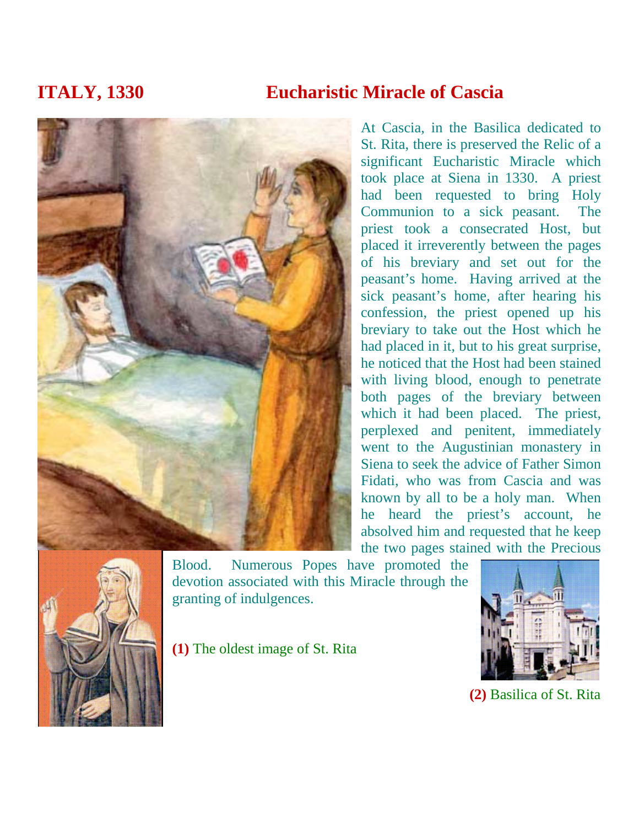## **ITALY, 1330 Eucharistic Miracle of Cascia**

At Cascia, in the Basilica dedicated to St. Rita, there is preserved the Relic of a significant Eucharistic Miracle which took place at Siena in 1330. A priest had been requested to bring Holy Communion to a sick peasant. The priest took a consecrated Host, but placed it irreverently between the pages of his breviary and set out for the peasant's home. Having arrived at the sick peasant's home, after hearing his confession, the priest opened up his breviary to take out the Host which he had placed in it, but to his great surprise, he noticed that the Host had been stained with living blood, enough to penetrate both pages of the breviary between which it had been placed. The priest, perplexed and penitent, immediately went to the Augustinian monastery in Siena to seek the advice of Father Simon Fidati, who was from Cascia and was known by all to be a holy man. When he heard the priest's account, he absolved him and requested that he keep



Blood. Numerous Popes have promoted the devotion associated with this Miracle through the granting of indulgences.

**(1)** The oldest image of St. Rita



**(2)** Basilica of St. Rita